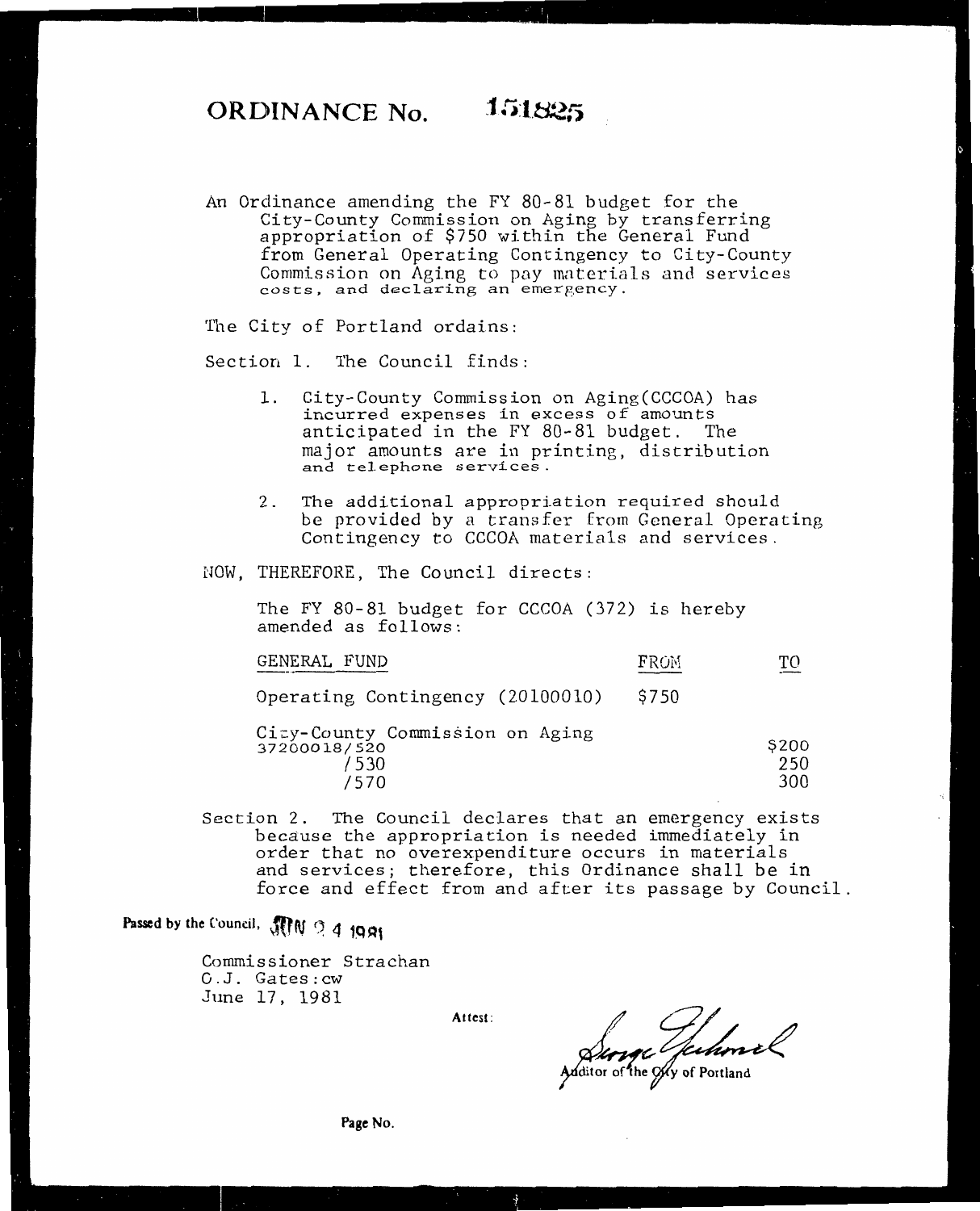An Ordinance amending the FY 80-81 budget for the City-County Commission on Aging by transferring appropriation 0£ \$750 within the General Fund from General Operating Contingency to City-County Commission on Aging to pay materials and services costs, and declaring an emergency.

The City of Portland ordains:

Section 1. The Council finds:

- 1. City-County Commission on Aging(CCCOA) has incurred expenses in excess of amounts anticipated in the FY 80-81 budget. The major amounts are in printing, distribution and telephone services.
- 2. The additional appropriation required should be provided by a transfer from General Operating Contingency to CCCOA materials and services.
- NOW, THEREFORE, The Council directs:

The FY 80-81 budget for CCCOA (372) is hereby amended as follows:

| GENERAL FUND                                                    | FROM | ፐቦ                  |
|-----------------------------------------------------------------|------|---------------------|
| Operating Contingency (20100010)                                | S750 |                     |
| City-County Commission on Aging<br>37200018/520<br>/530<br>/570 |      | \$200<br>250<br>300 |

Section 2. The Council declares that an emergency exists because the appropriation is needed immediately in order that no overexpenditure occurs in materials and services; therefore, this Ordinance shall be in force and effect from and after its passage by Council.

**Passed by the Council, ,Jfrl\f** ~, 4 **iQAf** 

Commissioner Strachan G.J. Gates:cw June 17, 1981

**Attest:** 

 $\frac{C}{\frac{1}{2}}\int_{\frac{1}{2}}\frac{C}{\frac{1}{2}}\int_{\frac{1}{2}}\frac{C}{\frac{1}{2}}\int_{\frac{1}{2}}\frac{C}{\frac{1}{2}}\int_{\frac{1}{2}}\frac{C}{\frac{1}{2}}\int_{\frac{1}{2}}\frac{C}{\frac{1}{2}}\int_{\frac{1}{2}}\frac{C}{\frac{1}{2}}\int_{\frac{1}{2}}\frac{C}{\frac{1}{2}}\int_{\frac{1}{2}}\frac{C}{\frac{1}{2}}\int_{\frac{1}{2}}\frac{C}{\frac{1}{2}}\int_{\frac{1}{2}}\$ 

**Page No.**